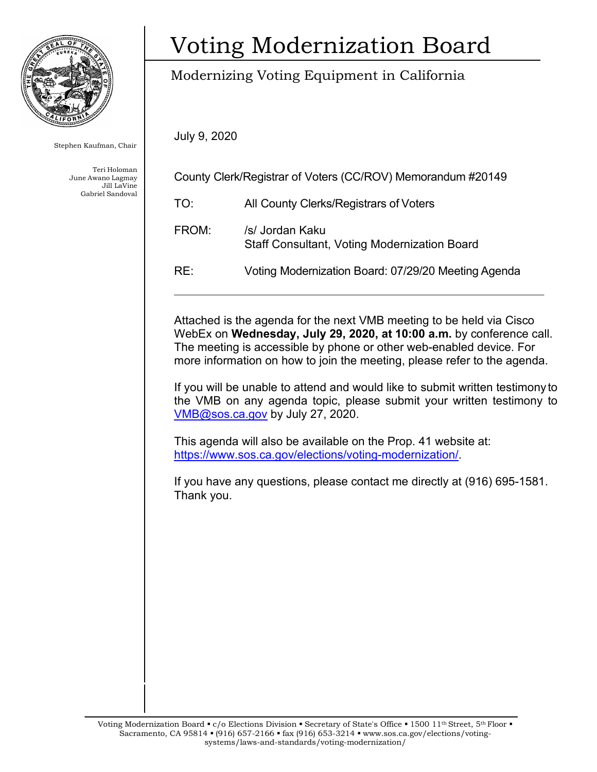

Stephen Kaufman, Chair

Teri Holoman June Awano Lagmay Jill LaVine Gabriel Sandoval

# Voting Modernization Board

## Modernizing Voting Equipment in California

July 9, 2020

| County Clerk/Registrar of Voters (CC/ROV) Memorandum #20149 |                                                                        |
|-------------------------------------------------------------|------------------------------------------------------------------------|
| TO:                                                         | All County Clerks/Registrars of Voters                                 |
| FROM:                                                       | /s/ Jordan Kaku<br><b>Staff Consultant, Voting Modernization Board</b> |
| RE:                                                         | Voting Modernization Board: 07/29/20 Meeting Agenda                    |

Attached is the agenda for the next VMB meeting to be held via Cisco WebEx on **Wednesday, July 29, 2020, at 10:00 a.m.** by conference call. The meeting is accessible by phone or other web-enabled device. For more information on how to join the meeting, please refer to the agenda.

If you will be unable to attend and would like to submit written testimony to the VMB on any agenda topic, please submit your written testimony to [VMB@sos.ca.gov](mailto:VMB@sos.ca.gov) by July 27, 2020.

This agenda will also be available on the Prop. 41 website at: [https://www.sos.ca.gov/elections/voting-modernization/.](https://www.sos.ca.gov/elections/voting-modernization/)

If you have any questions, please contact me directly at (916) 695-1581. Thank you.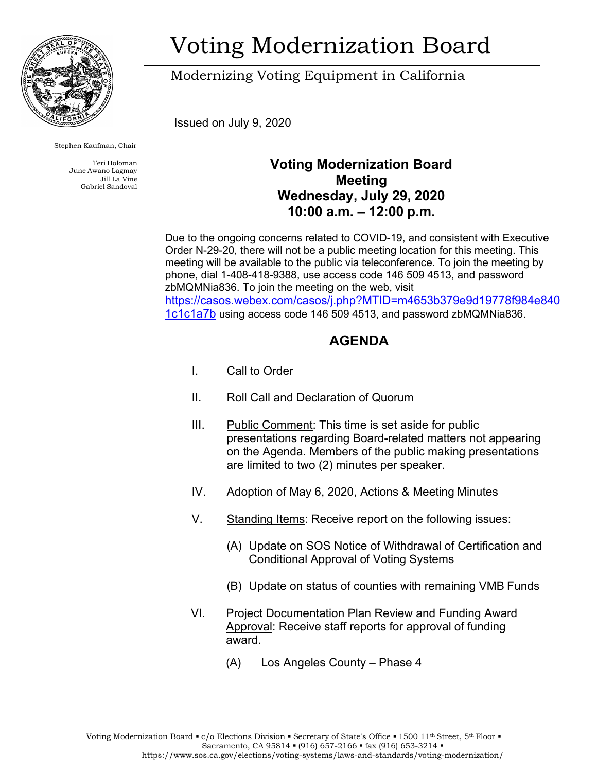

Stephen Kaufman, Chair

Teri Holoman June Awano Lagmay Jill La Vine Gabriel Sandoval

# Voting Modernization Board

Modernizing Voting Equipment in California

Issued on July 9, 2020

### **Voting Modernization Board Meeting Wednesday, July 29, 2020 10:00 a.m. – 12:00 p.m.**

Due to the ongoing concerns related to COVID-19, and consistent with Executive Order N-29-20, there will not be a public meeting location for this meeting. This meeting will be available to the public via teleconference. To join the meeting by phone, dial 1-408-418-9388, use access code 146 509 4513, and password zbMQMNia836. To join the meeting on the web, visit [https://casos.webex.com/casos/j.php?MTID=m4653b379e9d19778f984e840](https://casos.webex.com/casos/j.php?MTID=m4653b379e9d19778f984e8401c1c1a7b) [1c1c1a7b](https://casos.webex.com/casos/j.php?MTID=m4653b379e9d19778f984e8401c1c1a7b) using access code 146 509 4513, and password zbMQMNia836.

### **AGENDA**

- I. Call to Order
- II. Roll Call and Declaration of Quorum
- III. Public Comment: This time is set aside for public presentations regarding Board-related matters not appearing on the Agenda. Members of the public making presentations are limited to two (2) minutes per speaker.
- IV. Adoption of May 6, 2020, Actions & Meeting Minutes
- V. Standing Items: Receive report on the following issues:
	- (A) Update on SOS Notice of Withdrawal of Certification and Conditional Approval of Voting Systems
	- (B) Update on status of counties with remaining VMB Funds
- VI. Project Documentation Plan Review and Funding Award Approval: Receive staff reports for approval of funding award.
	- (A) Los Angeles County Phase 4

Voting Modernization Board • c/o Elections Division • Secretary of State's Office • 1500 11<sup>th</sup> Street, 5<sup>th</sup> Floor • Sacramento, CA 95814 • (916) 657-2166 • fax (916) 653-3214 • https:/[/www.sos.ca.gov/elections/voting-systems/laws-and-standards/voting-modernization/](http://www.sos.ca.gov/elections/voting-systems/laws-and-standards/voting-modernization/)